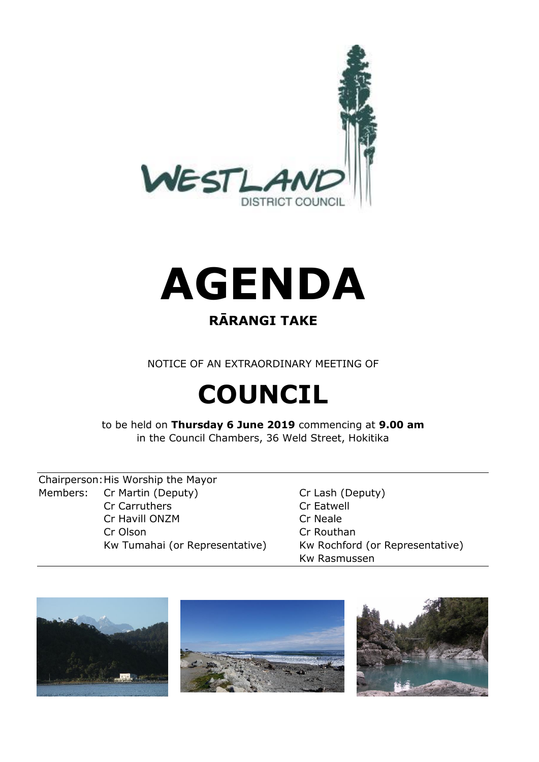



### **RĀRANGI TAKE**

NOTICE OF AN EXTRAORDINARY MEETING OF

# **COUNCIL**

to be held on **Thursday 6 June 2019** commencing at **9.00 am** in the Council Chambers, 36 Weld Street, Hokitika

Chairperson:His Worship the Mayor Members: Cr Martin (Deputy) Cr Lash (Deputy) Cr Carruthers Cr Eatwell Cr Havill ONZM Cr Neale Cr Olson Cr Routhan

Kw Tumahai (or Representative) Kw Rochford (or Representative) Kw Rasmussen